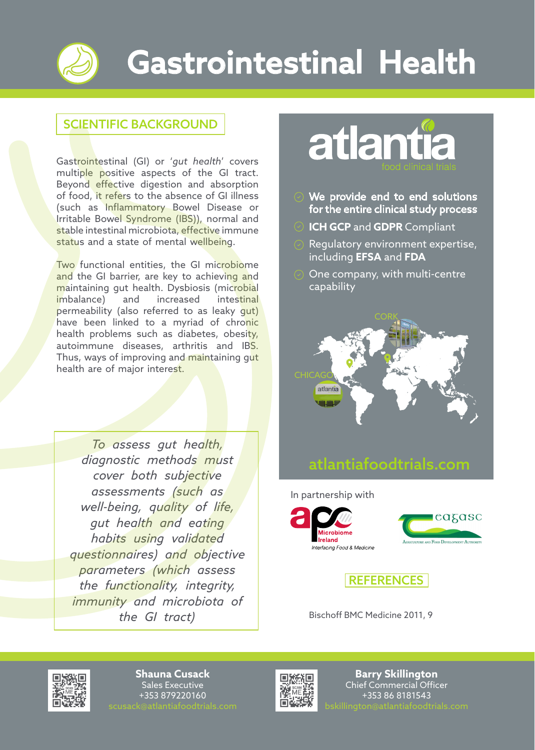

## Gastrointestinal Health

## SCIENTIFIC BACKGROUND

Gastrointestinal (GI) or '*gut health*' covers multiple positive aspects of the GI tract. Beyond effective digestion and absorption of food, it refers to the absence of GI illness (such as Inflammatory Bowel Disease or Irritable Bowel Syndrome (IBS)), normal and stable intestinal microbiota, effective immune status and a state of mental wellbeing.

Two functional entities, the GI microbiome and the GI barrier, are key to achieving and maintaining gut health. Dysbiosis (microbial imbalance) and increased intestinal permeability (also referred to as leaky gut) have been linked to a myriad of chronic health problems such as diabetes, obesity, autoimmune diseases, arthritis and IBS. Thus, ways of improving and maintaining gut health are of major interest.

*To assess gut health, diagnostic methods must cover both subjective assessments (such as well-being, quality of life, gut health and eating habits using validated questionnaires) and objective parameters (which assess the functionality, integrity, immunity and microbiota of the GI tract*) **Bischoff BMC Medicine 2011, 9** 



- We provide end to end solutions for the entire clinical study process
- **ICH GCP** and **GDPR** Compliant
- Regulatory environment expertise, including **EFSA** and **FDA**
- One company, with multi-centre capability



## atlantiafoodtrials.com

In partnership with







**Shauna Cusack**  Sales Executive +353 879220160



**Barry Skillington**  Chief Commercial Officer +353 86 8181543